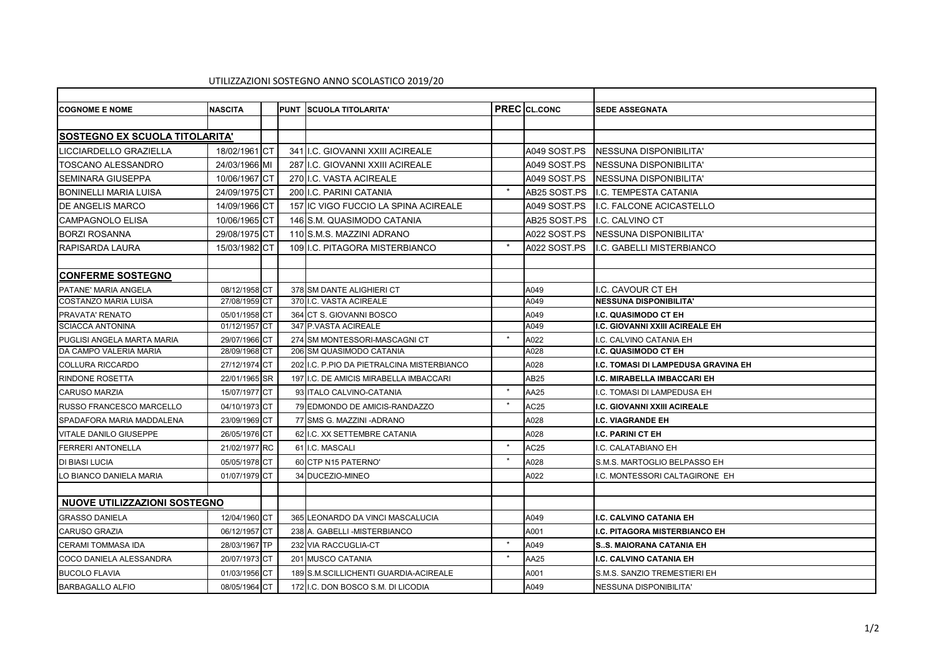## UTILIZZAZIONI SOSTEGNO ANNO SCOLASTICO 2019/20

| <b>COGNOME E NOME</b>                | <b>NASCITA</b> |      | <b>PUNT</b> | <b>SCUOLA TITOLARITA'</b>                  |         | <b>PREC</b> CL.CONC | <b>SEDE ASSEGNATA</b>                  |
|--------------------------------------|----------------|------|-------------|--------------------------------------------|---------|---------------------|----------------------------------------|
|                                      |                |      |             |                                            |         |                     |                                        |
| <b>SOSTEGNO EX SCUOLA TITOLARITA</b> |                |      |             |                                            |         |                     |                                        |
| LICCIARDELLO GRAZIELLA               | 18/02/1961 CT  |      |             | 341 I.C. GIOVANNI XXIII ACIREALE           |         | A049 SOST.PS        | <b>NESSUNA DISPONIBILITA'</b>          |
| TOSCANO ALESSANDRO                   | 24/03/1966 MI  |      |             | 287 I.C. GIOVANNI XXIII ACIREALE           |         | A049 SOST PS        | NESSUNA DISPONIBILITA'                 |
| <b>SEMINARA GIUSEPPA</b>             | 10/06/1967 CT  |      |             | 270 I.C. VASTA ACIREALE                    |         | A049 SOST.PS        | INESSUNA DISPONIBILITA'                |
| <b>BONINELLI MARIA LUISA</b>         | 24/09/1975 CT  |      |             | 200 I.C. PARINI CATANIA                    | $\star$ | AB25 SOST.PS        | I.C. TEMPESTA CATANIA                  |
| <b>DE ANGELIS MARCO</b>              | 14/09/1966 CT  |      |             | 157 IC VIGO FUCCIO LA SPINA ACIREALE       |         | A049 SOST.PS        | II.C. FALCONE ACICASTELLO              |
| <b>CAMPAGNOLO ELISA</b>              | 10/06/1965 CT  |      |             | 146 S.M. QUASIMODO CATANIA                 |         | AB25 SOST.PS        | I.C. CALVINO CT                        |
| <b>BORZI ROSANNA</b>                 | 29/08/1975 CT  |      |             | 110 S.M.S. MAZZINI ADRANO                  |         | A022 SOST.PS        | <b>NESSUNA DISPONIBILITA'</b>          |
| <b>RAPISARDA LAURA</b>               | 15/03/1982 CT  |      |             | 109 I.C. PITAGORA MISTERBIANCO             | $\star$ | A022 SOST.PS        | I.C. GABELLI MISTERBIANCO              |
|                                      |                |      |             |                                            |         |                     |                                        |
| <b>CONFERME SOSTEGNO</b>             |                |      |             |                                            |         |                     |                                        |
| PATANE' MARIA ANGELA                 | 08/12/1958 CT  |      |             | 378 SM DANTE ALIGHIERI CT                  |         | A049                | I.C. CAVOUR CT EH                      |
| COSTANZO MARIA LUISA                 | 27/08/1959 CT  |      |             | 370 I.C. VASTA ACIREALE                    |         | A049                | <b>NESSUNA DISPONIBILITA'</b>          |
| PRAVATA' RENATO                      | 05/01/1958 CT  |      |             | 364 CT S. GIOVANNI BOSCO                   |         | A049                | <b>I.C. QUASIMODO CT EH</b>            |
| <b>SCIACCA ANTONINA</b>              | 01/12/1957 CT  |      |             | 347 P.VASTA ACIREALE                       |         | A049                | <b>I.C. GIOVANNI XXIII ACIREALE EH</b> |
| PUGLISI ANGELA MARTA MARIA           | 29/07/1966 CT  |      |             | 274 SM MONTESSORI-MASCAGNI CT              |         | A022                | I.C. CALVINO CATANIA EH                |
| DA CAMPO VALERIA MARIA               | 28/09/1968 CT  |      |             | 206 SM QUASIMODO CATANIA                   |         | A028                | <b>I.C. QUASIMODO CT EH</b>            |
| <b>COLLURA RICCARDO</b>              | 27/12/1974 CT  |      |             | 202 I.C. P.PIO DA PIETRALCINA MISTERBIANCO |         | A028                | I.C. TOMASI DI LAMPEDUSA GRAVINA EH    |
| <b>RINDONE ROSETTA</b>               | 22/01/1965 SR  |      |             | 197 I.C. DE AMICIS MIRABELLA IMBACCARI     |         | <b>AB25</b>         | I.C. MIRABELLA IMBACCARI EH            |
| <b>CARUSO MARZIA</b>                 | 15/07/1977 CT  |      |             | 93 ITALO CALVINO-CATANIA                   | $\star$ | AA25                | I.C. TOMASI DI LAMPEDUSA EH            |
| RUSSO FRANCESCO MARCELLO             | 04/10/1973 CT  |      |             | 79 EDMONDO DE AMICIS-RANDAZZO              | $\star$ | AC25                | I.C. GIOVANNI XXIII ACIREALE           |
| SPADAFORA MARIA MADDALENA            | 23/09/1969 CT  |      |             | 77 SMS G. MAZZINI - ADRANO                 |         | A028                | <b>I.C. VIAGRANDE EH</b>               |
| <b>VITALE DANILO GIUSEPPE</b>        | 26/05/1976 CT  |      |             | 62 I.C. XX SETTEMBRE CATANIA               |         | A028                | <b>I.C. PARINI CT EH</b>               |
| <b>FERRERI ANTONELLA</b>             | 21/02/1977 RC  |      |             | 61 I.C. MASCALI                            | $\star$ | AC <sub>25</sub>    | I.C. CALATABIANO EH                    |
| DI BIASI LUCIA                       | 05/05/1978 CT  |      |             | 60 CTP N15 PATERNO'                        |         | A028                | S.M.S. MARTOGLIO BELPASSO EH           |
| LO BIANCO DANIELA MARIA              | 01/07/1979 CT  |      |             | 34 DUCEZIO-MINEO                           |         | A022                | I.C. MONTESSORI CALTAGIRONE EH         |
|                                      |                |      |             |                                            |         |                     |                                        |
| NUOVE UTILIZZAZIONI SOSTEGNO         |                |      |             |                                            |         |                     |                                        |
| <b>GRASSO DANIELA</b>                | 12/04/1960 CT  |      |             | 365 LEONARDO DA VINCI MASCALUCIA           |         | A049                | I.C. CALVINO CATANIA EH                |
| <b>CARUSO GRAZIA</b>                 | 06/12/1957     | 'Ict |             | 238 A. GABELLI - MISTERBIANCO              |         | A001                | <b>I.C. PITAGORA MISTERBIANCO EH</b>   |
| <b>CERAMI TOMMASA IDA</b>            | 28/03/1967 TP  |      |             | 232 VIA RACCUGLIA-CT                       | $\star$ | A049                | <b>ISS. MAIORANA CATANIA EH</b>        |
| COCO DANIELA ALESSANDRA              | 20/07/1973 CT  |      |             | 201 MUSCO CATANIA                          | $\star$ | AA25                | I.C. CALVINO CATANIA EH                |
| <b>BUCOLO FLAVIA</b>                 | 01/03/1956 CT  |      |             | 189 S.M.SCILLICHENTI GUARDIA-ACIREALE      |         | A001                | S.M.S. SANZIO TREMESTIERI EH           |
| <b>BARBAGALLO ALFIO</b>              | 08/05/1964 CT  |      |             | 172 I.C. DON BOSCO S.M. DI LICODIA         |         | A049                | <b>NESSUNA DISPONIBILITA'</b>          |